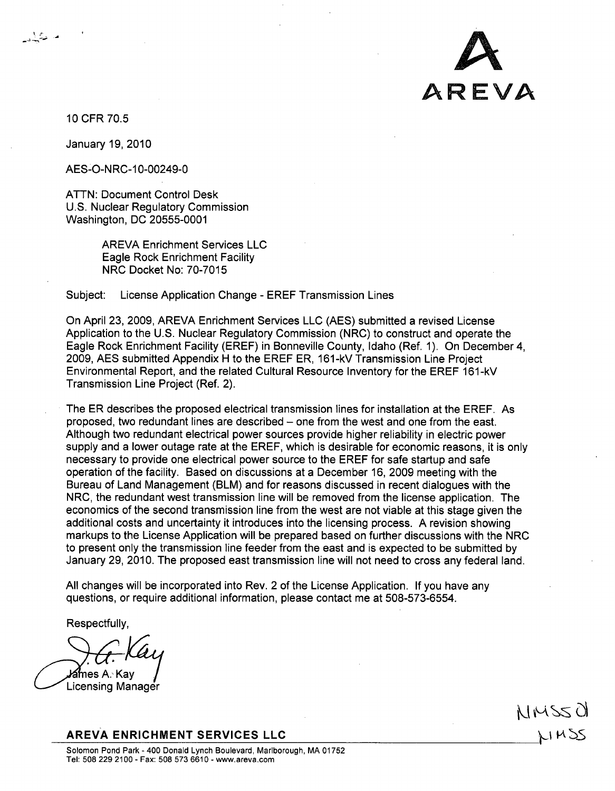

10 CFR 70.5

م منگیان

January 19, 2010

AES-O-NRC-10-00249-0

ATTN: Document Control Desk U.S. Nuclear Regulatory Commission Washington, DC 20555-0001

> AREVA Enrichment Services LLC Eagle Rock Enrichment Facility NRC Docket No: 70-7015

Subject: License Application Change - EREF Transmission Lines

On April 23, 2009, AREVA Enrichment Services LLC (AES) submitted a revised License Application to the U.S. Nuclear Regulatory Commission (NRC) to construct and operate the Eagle Rock Enrichment Facility (EREF) in Bonneville County, Idaho (Ref. 1). On December 4, 2009, AES submitted Appendix H to the EREF ER, 161-kV Transmission Line Project Environmental Report, and the related Cultural Resource Inventory for the EREF 161 -kV Transmission Line Project (Ref. 2).

The ER describes the proposed electrical transmission lines for installation at the EREF. As proposed, two redundant lines are described – one from the west and one from the east. Although two redundant electrical power sources provide higher reliability in electric power supply and a lower outage rate at the EREF, which is desirable for economic reasons, it is only necessary to provide one electrical power source to the EREF for safe startup and safe operation of the facility. Based on discussions at a December 16, 2009 meeting with the Bureau of Land Management (BLM) and for reasons discussed in recent dialogues with the NRC, the redundant west transmission line will be removed from the license application. The economics of the second transmission line from the west are not viable at this stage given the additional costs and uncertainty it introduces into the licensing process. A revision showing markups to the License Application will be prepared based on further discussions with the NRC to present only the transmission line feeder from the east and is expected to be submitted by January 29, 2010. The proposed east transmission line will not need to cross any federal land.

All changes will be incorporated into Rev. 2 of the License Application. If you have any questions, or require additional information, please contact me at 508-573-6554.

Respectfully,

**l∕ames A. Kav** 

Licensing Manager

AREVA **ENRICHMENT SERVICES LLC**

MMSSO NMSS